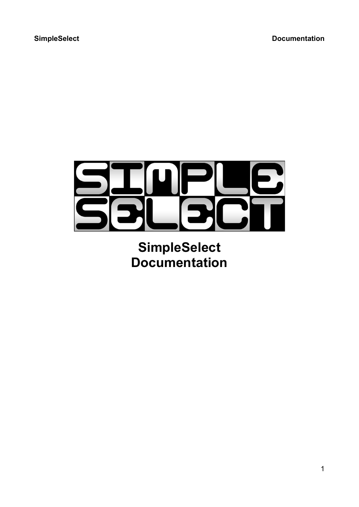

**SimpleSelect Documentation**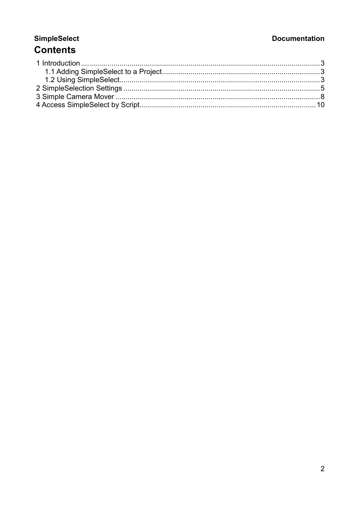# **Documentation**

# **SimpleSelect Contents**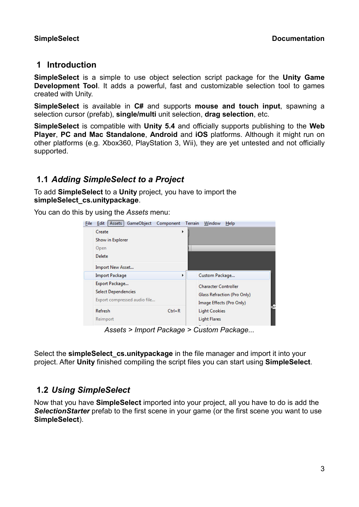# 1 Introduction

SimpleSelect is a simple to use object selection script package for the Unity Game Development Tool. It adds a powerful, fast and customizable selection tool to games created with Unity.

SimpleSelect is available in C# and supports mouse and touch input, spawning a selection cursor (prefab), single/multi unit selection, drag selection, etc.

SimpleSelect is compatible with Unity 5.4 and officially supports publishing to the Web Player, PC and Mac Standalone, Android and iOS platforms. Although it might run on other platforms (e.g. Xbox360, PlayStation 3, Wii), they are yet untested and not officially supported.

# 1.1 Adding SimpleSelect to a Project

To add SimpleSelect to a Unity project, you have to import the simpleSelect\_cs.unitypackage.

You can do this by using the Assets menu:

| File | Assets<br><b>GameObject</b><br>Edit          | Component  | <b>Terrain</b> | Window                      | Help                        |  |
|------|----------------------------------------------|------------|----------------|-----------------------------|-----------------------------|--|
|      | Create                                       | ▶          |                |                             |                             |  |
|      | Show in Explorer                             |            |                |                             |                             |  |
|      | Open                                         |            |                |                             |                             |  |
|      | <b>Delete</b>                                |            |                |                             |                             |  |
|      | Import New Asset                             |            |                |                             |                             |  |
|      | <b>Import Package</b>                        | ▶          |                | Custom Package              |                             |  |
|      | Export Package<br><b>Select Dependencies</b> |            |                | <b>Character Controller</b> | Glass Refraction (Pro Only) |  |
|      | Export compressed audio file                 |            |                |                             | Image Effects (Pro Only)    |  |
|      | <b>Refresh</b>                               | $Ctrl + R$ |                | <b>Light Cookies</b>        |                             |  |
|      | Reimport                                     |            |                | <b>Light Flares</b>         |                             |  |
|      |                                              |            |                |                             |                             |  |

Assets > Import Package > Custom Package...

Select the simpleSelect cs.unitypackage in the file manager and import it into your project. After Unity finished compiling the script files you can start using SimpleSelect.

# 1.2 Using SimpleSelect

Now that you have SimpleSelect imported into your project, all you have to do is add the SelectionStarter prefab to the first scene in your game (or the first scene you want to use SimpleSelect).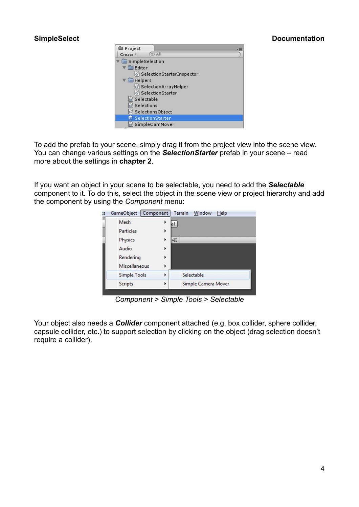

To add the prefab to your scene, simply drag it from the project view into the scene view. You can change various settings on the SelectionStarter prefab in your scene – read more about the settings in chapter 2.

If you want an object in your scene to be selectable, you need to add the Selectable component to it. To do this, select the object in the scene view or project hierarchy and add the component by using the Component menu:



Component > Simple Tools > Selectable

Your object also needs a **Collider** component attached (e.g. box collider, sphere collider, capsule collider, etc.) to support selection by clicking on the object (drag selection doesn't require a collider).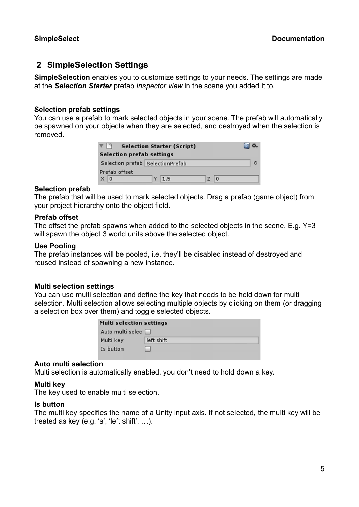# 2 SimpleSelection Settings

SimpleSelection enables you to customize settings to your needs. The settings are made at the Selection Starter prefab Inspector view in the scene you added it to.

# Selection prefab settings

You can use a prefab to mark selected objects in your scene. The prefab will automatically be spawned on your objects when they are selected, and destroyed when the selection is removed.

| <b>Selection prefab settings</b> | <b>Selection Starter (Script)</b> |       |         |
|----------------------------------|-----------------------------------|-------|---------|
| Selection prefab SelectionPrefab |                                   |       | $\odot$ |
| Prefab offset                    |                                   |       |         |
| X <sub>0</sub>                   | $Y$ 1.5                           | $Z$ 0 |         |

## Selection prefab

The prefab that will be used to mark selected objects. Drag a prefab (game object) from your project hierarchy onto the object field.

## Prefab offset

The offset the prefab spawns when added to the selected objects in the scene. E.g.  $Y=3$ will spawn the object 3 world units above the selected object.

#### Use Pooling

The prefab instances will be pooled, i.e. they'll be disabled instead of destroyed and reused instead of spawning a new instance.

## Multi selection settings

You can use multi selection and define the key that needs to be held down for multi selection. Multi selection allows selecting multiple objects by clicking on them (or dragging a selection box over them) and toggle selected objects.

| <b>Multi selection settings</b> |            |  |
|---------------------------------|------------|--|
| Auto multi selec D              |            |  |
| Multi key                       | left shift |  |
| Is button                       |            |  |

## Auto multi selection

Multi selection is automatically enabled, you don't need to hold down a key.

## Multi key

The key used to enable multi selection.

#### Is button

The multi key specifies the name of a Unity input axis. If not selected, the multi key will be treated as key (e.g. 's', 'left shift', …).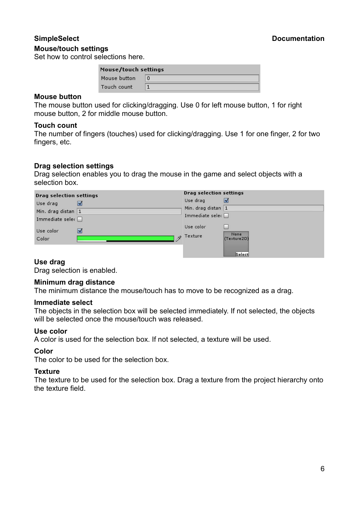#### Mouse/touch settings

#### SimpleSelect Documentation

Set how to control selections here.

| Mouse/touch settings |   |
|----------------------|---|
| Mouse button         | 0 |
| Touch count          |   |

#### Mouse button

The mouse button used for clicking/dragging. Use 0 for left mouse button, 1 for right mouse button, 2 for middle mouse button.

#### Touch count

The number of fingers (touches) used for clicking/dragging. Use 1 for one finger, 2 for two fingers, etc.

## Drag selection settings

Drag selection enables you to drag the mouse in the game and select objects with a selection box.

| <b>Drag selection settings</b> |   | <b>Drag selection settings</b> |                     |
|--------------------------------|---|--------------------------------|---------------------|
| Use drag                       | M | Use drag                       | M                   |
| Min. drag distan 1             |   | Min. drag distan 1             |                     |
| Immediate sele $\Box$          |   | Immediate sele(                |                     |
| Use color                      | V | Use color                      |                     |
| Color                          | R | Texture                        | None<br>(Texture2D) |
|                                |   |                                |                     |
|                                |   |                                | Select              |

## Use drag

Drag selection is enabled.

#### Minimum drag distance

The minimum distance the mouse/touch has to move to be recognized as a drag.

#### Immediate select

The objects in the selection box will be selected immediately. If not selected, the objects will be selected once the mouse/touch was released.

#### Use color

A color is used for the selection box. If not selected, a texture will be used.

#### Color

The color to be used for the selection box.

#### **Texture**

The texture to be used for the selection box. Drag a texture from the project hierarchy onto the texture field.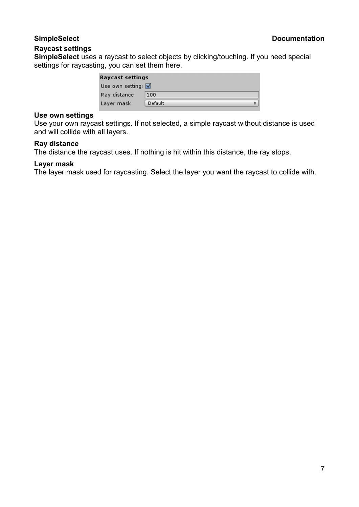# Raycast settings

SimpleSelect uses a raycast to select objects by clicking/touching. If you need special settings for raycasting, you can set them here.

| Raycast settings           |         |  |
|----------------------------|---------|--|
| Use own setting: $\sqrt{}$ |         |  |
| Ray distance               | 100     |  |
| Layer mask                 | Default |  |

## Use own settings

Use your own raycast settings. If not selected, a simple raycast without distance is used and will collide with all layers.

## Ray distance

The distance the raycast uses. If nothing is hit within this distance, the ray stops.

# Layer mask

The layer mask used for raycasting. Select the layer you want the raycast to collide with.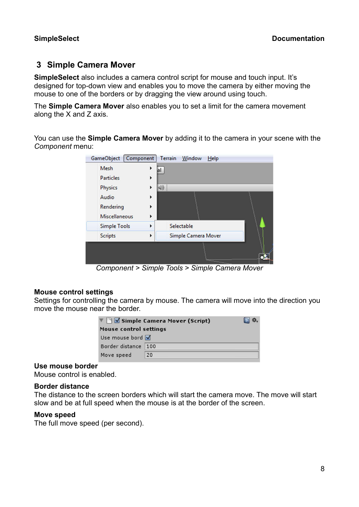# 3 Simple Camera Mover

SimpleSelect also includes a camera control script for mouse and touch input. It's designed for top-down view and enables you to move the camera by either moving the mouse to one of the borders or by dragging the view around using touch.

The Simple Camera Mover also enables you to set a limit for the camera movement along the X and Z axis.

You can use the Simple Camera Mover by adding it to the camera in your scene with the Component menu:



Component > Simple Tools > Simple Camera Mover

## Mouse control settings

Settings for controlling the camera by mouse. The camera will move into the direction you move the mouse near the border.

|                        | ▼ Simple Camera Mover (Script) |  |
|------------------------|--------------------------------|--|
| Mouse control settings |                                |  |
| Use mouse bord V       |                                |  |
| Border distance        | 100                            |  |
| Move speed             | 20                             |  |

## Use mouse border

Mouse control is enabled.

## Border distance

The distance to the screen borders which will start the camera move. The move will start slow and be at full speed when the mouse is at the border of the screen.

#### Move speed

The full move speed (per second).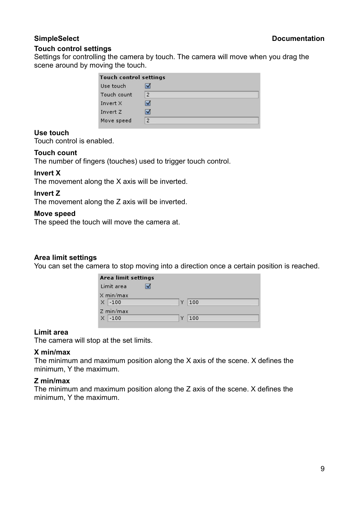## Touch control settings

Settings for controlling the camera by touch. The camera will move when you drag the scene around by moving the touch.

| <b>Touch control settings</b> |                |
|-------------------------------|----------------|
| Use touch                     |                |
| Touch count                   | $\overline{2}$ |
| Invert X                      |                |
| Invert Z                      |                |
| Move speed                    | $\overline{2}$ |

# Use touch

Touch control is enabled.

# Touch count

The number of fingers (touches) used to trigger touch control.

# Invert X

The movement along the X axis will be inverted.

# Invert Z

The movement along the Z axis will be inverted.

## Move speed

The speed the touch will move the camera at.

# Area limit settings

You can set the camera to stop moving into a direction once a certain position is reached.

| Area limit settings |          |
|---------------------|----------|
| Limit area          |          |
| X min/max           |          |
| X<br>$-100$         | Y<br>100 |
| Z min/max           |          |
| $\times$<br>$-100$  | Y<br>100 |

## Limit area

The camera will stop at the set limits.

## X min/max

The minimum and maximum position along the X axis of the scene. X defines the minimum, Y the maximum.

## Z min/max

The minimum and maximum position along the Z axis of the scene. X defines the minimum, Y the maximum.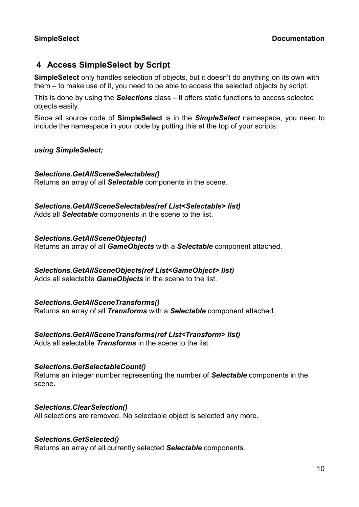# 4 Access SimpleSelect by Script

SimpleSelect only handles selection of objects, but it doesn't do anything on its own with them – to make use of it, you need to be able to access the selected objects by script.

This is done by using the **Selections** class – it offers static functions to access selected objects easily.

Since all source code of **SimpleSelect** is in the **SimpleSelect** namespace, you need to include the namespace in your code by putting this at the top of your scripts:

# using SimpleSelect;

# Selections.GetAllSceneSelectables()

Returns an array of all **Selectable** components in the scene.

# Selections.GetAllSceneSelectables(ref List<Selectable> list)

Adds all **Selectable** components in the scene to the list.

# Selections.GetAllSceneObjects()

Returns an array of all GameObjects with a Selectable component attached.

# Selections.GetAllSceneObjects(ref List<GameObject> list)

Adds all selectable **GameObjects** in the scene to the list.

# Selections.GetAllSceneTransforms()

Returns an array of all Transforms with a Selectable component attached.

# Selections.GetAllSceneTransforms(ref List<Transform> list)

Adds all selectable **Transforms** in the scene to the list.

# Selections.GetSelectableCount()

Returns an integer number representing the number of Selectable components in the scene.

## Selections.ClearSelection()

All selections are removed. No selectable object is selected any more.

## Selections.GetSelected()

Returns an array of all currently selected Selectable components.